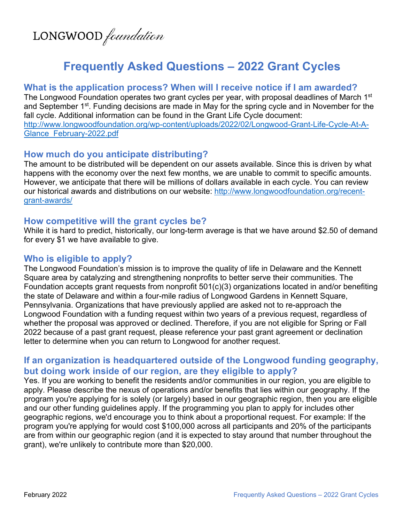

# **Frequently Asked Questions – 2022 Grant Cycles**

#### **What is the application process? When will I receive notice if I am awarded?**

The Longwood Foundation operates two grant cycles per year, with proposal deadlines of March 1<sup>st</sup> and September 1<sup>st</sup>. Funding decisions are made in May for the spring cycle and in November for the fall cycle. Additional information can be found in the Grant Life Cycle document: [http://www.longwoodfoundation.org/wp-content/uploads/2022/02/Longwood-Grant-Life-Cycle-At-A-](http://www.longwoodfoundation.org/wp-content/uploads/2022/02/Longwood-Grant-Life-Cycle-At-A-Glance_February-2022.pdf)Glance\_[February-2022.pdf](http://www.longwoodfoundation.org/wp-content/uploads/2022/02/Longwood-Grant-Life-Cycle-At-A-Glance_February-2022.pdf)

#### **How much do you anticipate distributing?**

The amount to be distributed will be dependent on our assets available. Since this is driven by what happens with the economy over the next few months, we are unable to commit to specific amounts. However, we anticipate that there will be millions of dollars available in each cycle. You can review our historical awards and distributions on [our website: http://www.longwoodfoundation.org/recent](http://www.longwoodfoundation.org/recent-grant-awards/)grant-[awards/](http://www.longwoodfoundation.org/recent-grant-awards/) 

#### **How competitive will the grant cycles be?**

While it is hard to predict, historically, our long-term average is that we have around \$2.50 of demand for every \$1 we have available to give.

#### **Who is eligible to apply?**

The Longwood Foundation's mission is to improve the quality of life in Delaware and the Kennett Square area by catalyzing and strengthening nonprofits to better serve their communities. The Foundation accepts grant requests from nonprofit 501(c)(3) organizations located in and/or benefiting the state of Delaware and within a four-mile radius of Longwood Gardens in Kennett Square, Pennsylvania. Organizations that have previously applied are asked not to re-approach the Longwood Foundation with a funding request within two years of a previous request, regardless of whether the proposal was approved or declined. Therefore, if you are not eligible for Spring or Fall 2022 because of a past grant request, please reference your past grant agreement or declination letter to determine when you can return to Longwood for another request.

# **If an organization is headquartered outside of the Longwood funding geography, but doing work inside of our region, are they eligible to apply?**

Yes. If you are working to benefit the residents and/or communities in our region, you are eligible to apply. Please describe the nexus of operations and/or benefits that lies within our geography. If the program you're applying for is solely (or largely) based in our geographic region, then you are eligible and our other funding guidelines apply. If the programming you plan to apply for includes other geographic regions, we'd encourage you to think about a proportional request. For example: If the program you're applying for would cost \$100,000 across all participants and 20% of the participants are from within our geographic region (and it is expected to stay around that number throughout the grant), we're unlikely to contribute more than \$20,000.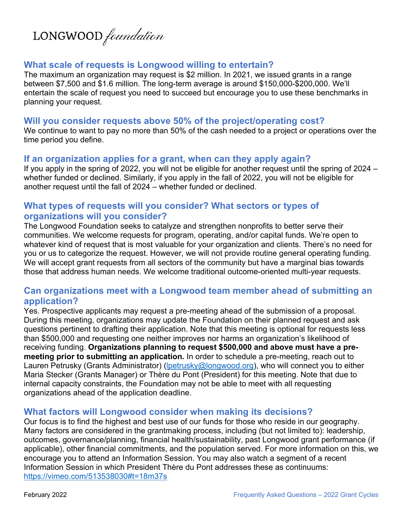

## **What scale of requests is Longwood willing to entertain?**

The maximum an organization may request is \$2 million. In 2021, we issued grants in a range between \$7,500 and \$1.6 million. The long-term average is around \$150,000-\$200,000. We'll entertain the scale of request you need to succeed but encourage you to use these benchmarks in planning your request.

#### **Will you consider requests above 50% of the project/operating cost?**

We continue to want to pay no more than 50% of the cash needed to a project or operations over the time period you define.

#### **If an organization applies for a grant, when can they apply again?**

If you apply in the spring of 2022, you will not be eligible for another request until the spring of 2024 – whether funded or declined. Similarly, if you apply in the fall of 2022, you will not be eligible for another request until the fall of 2024 – whether funded or declined.

## **What types of requests will you consider? What sectors or types of organizations will you consider?**

The Longwood Foundation seeks to catalyze and strengthen nonprofits to better serve their communities. We welcome requests for program, operating, and/or capital funds. We're open to whatever kind of request that is most valuable for your organization and clients. There's no need for you or us to categorize the request. However, we will not provide routine general operating funding. We will accept grant requests from all sectors of the community but have a marginal bias towards those that address human needs. We welcome traditional outcome-oriented multi-year requests.

## **Can organizations meet with a Longwood team member ahead of submitting an application?**

Yes. Prospective applicants may request a pre-meeting ahead of the submission of a proposal. During this meeting, organizations may update the Foundation on their planned request and ask questions pertinent to drafting their application. Note that this meeting is optional for requests less than \$500,000 and requesting one neither improves nor harms an organization's likelihood of receiving funding. **Organizations planning to request \$500,000 and above must have a premeeting prior to submitting an application.** In order to schedule a pre-meeting, reach out to Lauren Petrusky (Grants Administrator) [\(lpetrusky@longwood.org\), wh](mailto:lpetrusky@longwood.org)o will connect you to either Maria Stecker (Grants Manager) or Thère du Pont (President) for this meeting. Note that due to internal capacity constraints, the Foundation may not be able to meet with all requesting organizations ahead of the application deadline.

# **What factors will Longwood consider when making its decisions?**

Our focus is to find the highest and best use of our funds for those who reside in our geography. Many factors are considered in the grantmaking process, including (but not limited to): leadership, outcomes, governance/planning, financial health/sustainability, past Longwood grant performance (if applicable), other financial commitments, and the population served. For more information on this, we encourage you to attend an Information Session. You may also watch a segment of a recent Information Session in which President Thère du Pont addresses these as continuums: <https://vimeo.com/513538030#t=18m37s>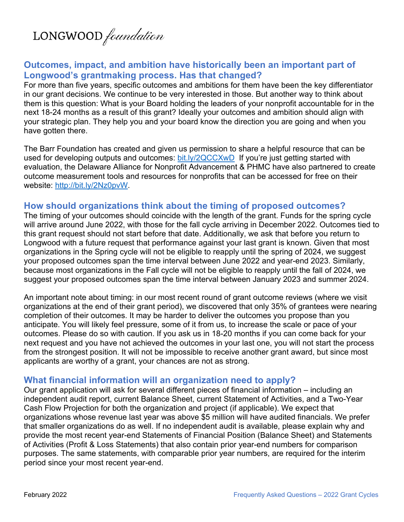

# **Outcomes, impact, and ambition have historically been an important part of Longwood's grantmaking process. Has that changed?**

For more than five years, specific outcomes and ambitions for them have been the key differentiator in our grant decisions. We continue to be very interested in those. But another way to think about them is this question: What is your Board holding the leaders of your nonprofit accountable for in the next 18-24 months as a result of this grant? Ideally your outcomes and ambition should align with your strategic plan. They help you and your board know the direction you are going and when you have gotten there.

The Barr Foundation has created and given us permission to share a helpful resource that can be used for developing outputs and outcomes: [bit.ly/2QCCXwD](http://bit.ly/2QCCXwD) If you're just getting started with evaluation, the Delaware Alliance for Nonprofit Advancement & PHMC have also partnered to create outcome measurement tools and resources for nonprofits that can be accessed for free on their website: [http://bit.ly/2Nz0pvW.](http://bit.ly/2Nz0pvW) 

#### **How should organizations think about the timing of proposed outcomes?**

The timing of your outcomes should coincide with the length of the grant. Funds for the spring cycle will arrive around June 2022, with those for the fall cycle arriving in December 2022. Outcomes tied to this grant request should not start before that date. Additionally, we ask that before you return to Longwood with a future request that performance against your last grant is known. Given that most organizations in the Spring cycle will not be eligible to reapply until the spring of 2024, we suggest your proposed outcomes span the time interval between June 2022 and year-end 2023. Similarly, because most organizations in the Fall cycle will not be eligible to reapply until the fall of 2024, we suggest your proposed outcomes span the time interval between January 2023 and summer 2024.

An important note about timing: in our most recent round of grant outcome reviews (where we visit organizations at the end of their grant period), we discovered that only 35% of grantees were nearing completion of their outcomes. It may be harder to deliver the outcomes you propose than you anticipate. You will likely feel pressure, some of it from us, to increase the scale or pace of your outcomes. Please do so with caution. If you ask us in 18-20 months if you can come back for your next request and you have not achieved the outcomes in your last one, you will not start the process from the strongest position. It will not be impossible to receive another grant award, but since most applicants are worthy of a grant, your chances are not as strong.

#### **What financial information will an organization need to apply?**

Our grant application will ask for several different pieces of financial information – including an independent audit report, current Balance Sheet, current Statement of Activities, and a Two-Year Cash Flow Projection for both the organization and project (if applicable). We expect that organizations whose revenue last year was above \$5 million will have audited financials. We prefer that smaller organizations do as well. If no independent audit is available, please explain why and provide the most recent year-end Statements of Financial Position (Balance Sheet) and Statements of Activities (Profit & Loss Statements) that also contain prior year-end numbers for comparison purposes. The same statements, with comparable prior year numbers, are required for the interim period since your most recent year-end.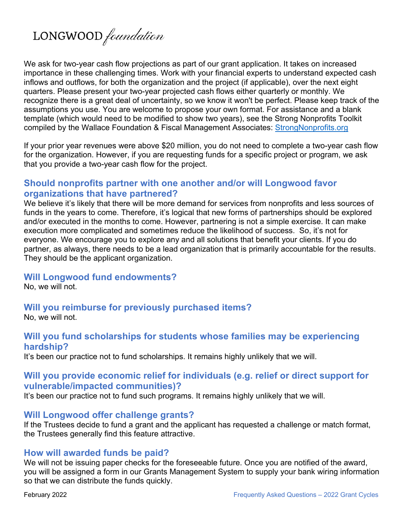# LONGWOOD foundation

We ask for two-year cash flow projections as part of our grant application. It takes on increased importance in these challenging times. Work with your financial experts to understand expected cash inflows and outflows, for both the organization and the project (if applicable), over the next eight quarters. Please present your two-year projected cash flows either quarterly or monthly. We recognize there is a great deal of uncertainty, so we know it won't be perfect. Please keep track of the assumptions you use. You are welcome to propose your own format. For assistance and a blank template (which would need to be modified to show two years), see the Strong Nonprofits Toolkit compiled by the Wallace Foundation & Fiscal Management Associates: [StrongNonprofits.org](https://www.wallacefoundation.org/knowledge-center/resources-for-financial-management/pages/default.aspx)

If your prior year revenues were above \$20 million, you do not need to complete a two-year cash flow for the organization. However, if you are requesting funds for a specific project or program, we ask that you provide a two-year cash flow for the project.

# **Should nonprofits partner with one another and/or will Longwood favor organizations that have partnered?**

We believe it's likely that there will be more demand for services from nonprofits and less sources of funds in the years to come. Therefore, it's logical that new forms of partnerships should be explored and/or executed in the months to come. However, partnering is not a simple exercise. It can make execution more complicated and sometimes reduce the likelihood of success. So, it's not for everyone. We encourage you to explore any and all solutions that benefit your clients. If you do partner, as always, there needs to be a lead organization that is primarily accountable for the results. They should be the applicant organization.

#### **Will Longwood fund endowments?**

No, we will not.

# **Will you reimburse for previously purchased items?**

No, we will not.

# **Will you fund scholarships for students whose families may be experiencing hardship?**

It's been our practice not to fund scholarships. It remains highly unlikely that we will.

# **Will you provide economic relief for individuals (e.g. relief or direct support for vulnerable/impacted communities)?**

It's been our practice not to fund such programs. It remains highly unlikely that we will.

#### **Will Longwood offer challenge grants?**

If the Trustees decide to fund a grant and the applicant has requested a challenge or match format, the Trustees generally find this feature attractive.

#### **How will awarded funds be paid?**

We will not be issuing paper checks for the foreseeable future. Once you are notified of the award, you will be assigned a form in our Grants Management System to supply your bank wiring information so that we can distribute the funds quickly.